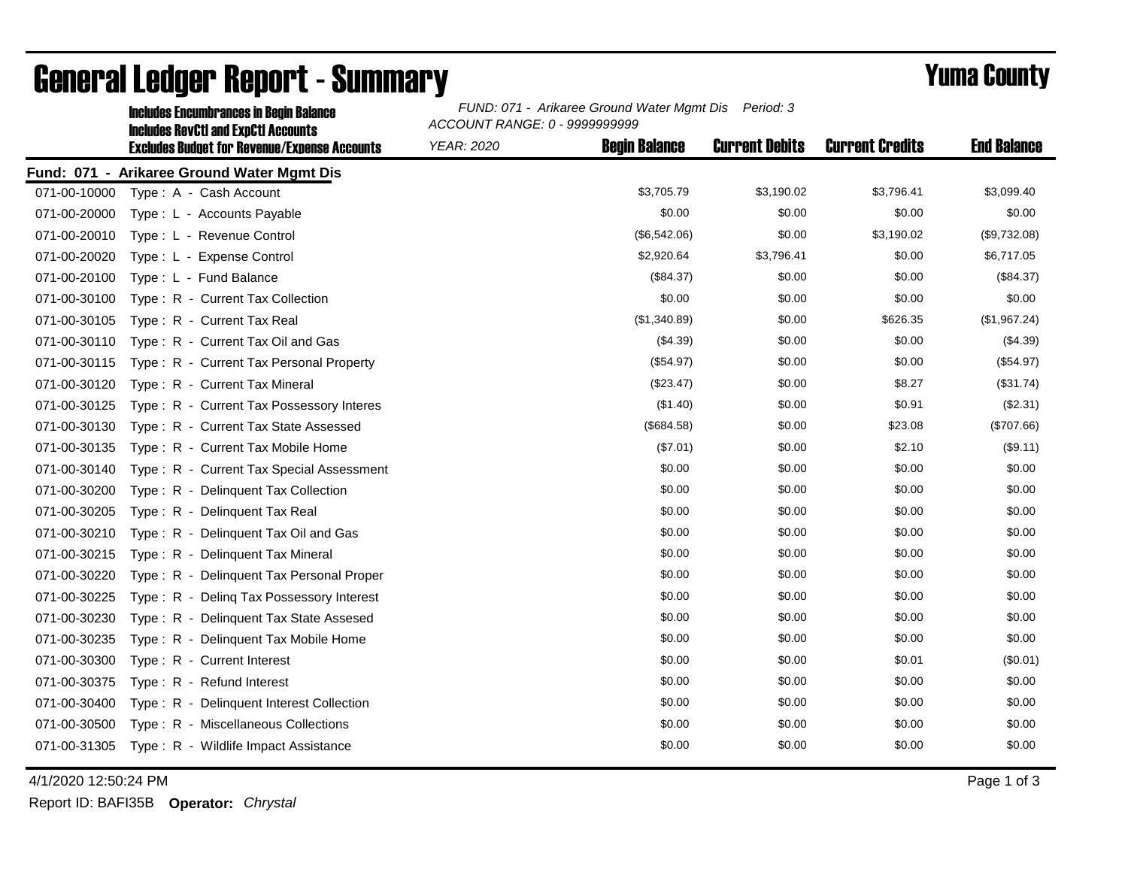|              | <b>Includes Encumbrances in Begin Balance</b>                                                     | FUND: 071 - Arikaree Ground Water Mgmt Dis<br>Period: 3<br>ACCOUNT RANGE: 0 - 9999999999 |                      |                       |                        |                    |  |
|--------------|---------------------------------------------------------------------------------------------------|------------------------------------------------------------------------------------------|----------------------|-----------------------|------------------------|--------------------|--|
|              | <b>Includes RevCtI and ExpCtI Accounts</b><br><b>Excludes Budget for Revenue/Expense Accounts</b> | <b>YEAR: 2020</b>                                                                        | <b>Begin Balance</b> | <b>Current Debits</b> | <b>Current Credits</b> | <b>End Balance</b> |  |
|              | Fund: 071 - Arikaree Ground Water Mgmt Dis                                                        |                                                                                          |                      |                       |                        |                    |  |
| 071-00-10000 | Type: A - Cash Account                                                                            |                                                                                          | \$3,705.79           | \$3,190.02            | \$3,796.41             | \$3,099.40         |  |
| 071-00-20000 | Type: L - Accounts Payable                                                                        |                                                                                          | \$0.00               | \$0.00                | \$0.00                 | \$0.00             |  |
| 071-00-20010 | Type: L - Revenue Control                                                                         |                                                                                          | (\$6,542.06)         | \$0.00                | \$3,190.02             | (\$9,732.08)       |  |
| 071-00-20020 | Type: L - Expense Control                                                                         |                                                                                          | \$2,920.64           | \$3,796.41            | \$0.00                 | \$6,717.05         |  |
| 071-00-20100 | Type: L - Fund Balance                                                                            |                                                                                          | (\$84.37)            | \$0.00                | \$0.00                 | (\$84.37)          |  |
| 071-00-30100 | Type: R - Current Tax Collection                                                                  |                                                                                          | \$0.00               | \$0.00                | \$0.00                 | \$0.00             |  |
| 071-00-30105 | Type: R - Current Tax Real                                                                        |                                                                                          | (\$1,340.89)         | \$0.00                | \$626.35               | (\$1,967.24)       |  |
| 071-00-30110 | Type: R - Current Tax Oil and Gas                                                                 |                                                                                          | (\$4.39)             | \$0.00                | \$0.00                 | (\$4.39)           |  |
| 071-00-30115 | Type: R - Current Tax Personal Property                                                           |                                                                                          | (\$54.97)            | \$0.00                | \$0.00                 | (\$54.97)          |  |
| 071-00-30120 | Type: R - Current Tax Mineral                                                                     |                                                                                          | (\$23.47)            | \$0.00                | \$8.27                 | (\$31.74)          |  |
| 071-00-30125 | Type: R - Current Tax Possessory Interes                                                          |                                                                                          | (\$1.40)             | \$0.00                | \$0.91                 | (\$2.31)           |  |
| 071-00-30130 | Type: R - Current Tax State Assessed                                                              |                                                                                          | (\$684.58)           | \$0.00                | \$23.08                | (\$707.66)         |  |
| 071-00-30135 | Type: R - Current Tax Mobile Home                                                                 |                                                                                          | (\$7.01)             | \$0.00                | \$2.10                 | (\$9.11)           |  |
| 071-00-30140 | Type: R - Current Tax Special Assessment                                                          |                                                                                          | \$0.00               | \$0.00                | \$0.00                 | \$0.00             |  |
| 071-00-30200 | Type: R - Delinquent Tax Collection                                                               |                                                                                          | \$0.00               | \$0.00                | \$0.00                 | \$0.00             |  |
| 071-00-30205 | Type: R - Delinguent Tax Real                                                                     |                                                                                          | \$0.00               | \$0.00                | \$0.00                 | \$0.00             |  |
| 071-00-30210 | Type: R - Delinquent Tax Oil and Gas                                                              |                                                                                          | \$0.00               | \$0.00                | \$0.00                 | \$0.00             |  |
| 071-00-30215 | Type: R - Delinquent Tax Mineral                                                                  |                                                                                          | \$0.00               | \$0.00                | \$0.00                 | \$0.00             |  |
| 071-00-30220 | Type: R - Delinquent Tax Personal Proper                                                          |                                                                                          | \$0.00               | \$0.00                | \$0.00                 | \$0.00             |  |
| 071-00-30225 | Type: R - Deling Tax Possessory Interest                                                          |                                                                                          | \$0.00               | \$0.00                | \$0.00                 | \$0.00             |  |
| 071-00-30230 | Type: R - Delinquent Tax State Assesed                                                            |                                                                                          | \$0.00               | \$0.00                | \$0.00                 | \$0.00             |  |
| 071-00-30235 | Type: R - Delinquent Tax Mobile Home                                                              |                                                                                          | \$0.00               | \$0.00                | \$0.00                 | \$0.00             |  |
| 071-00-30300 | Type: R - Current Interest                                                                        |                                                                                          | \$0.00               | \$0.00                | \$0.01                 | (\$0.01)           |  |
| 071-00-30375 | Type: R - Refund Interest                                                                         |                                                                                          | \$0.00               | \$0.00                | \$0.00                 | \$0.00             |  |
| 071-00-30400 | Type: R - Delinquent Interest Collection                                                          |                                                                                          | \$0.00               | \$0.00                | \$0.00                 | \$0.00             |  |
| 071-00-30500 | Type: R - Miscellaneous Collections                                                               |                                                                                          | \$0.00               | \$0.00                | \$0.00                 | \$0.00             |  |
| 071-00-31305 | Type: R - Wildlife Impact Assistance                                                              |                                                                                          | \$0.00               | \$0.00                | \$0.00                 | \$0.00             |  |

## General Ledger Report - Summary **Example 2018** Yuma County

4/1/2020 12:50:24 PM Page 1 of 3

Report ID: BAFI35B **Operator:** *Chrystal*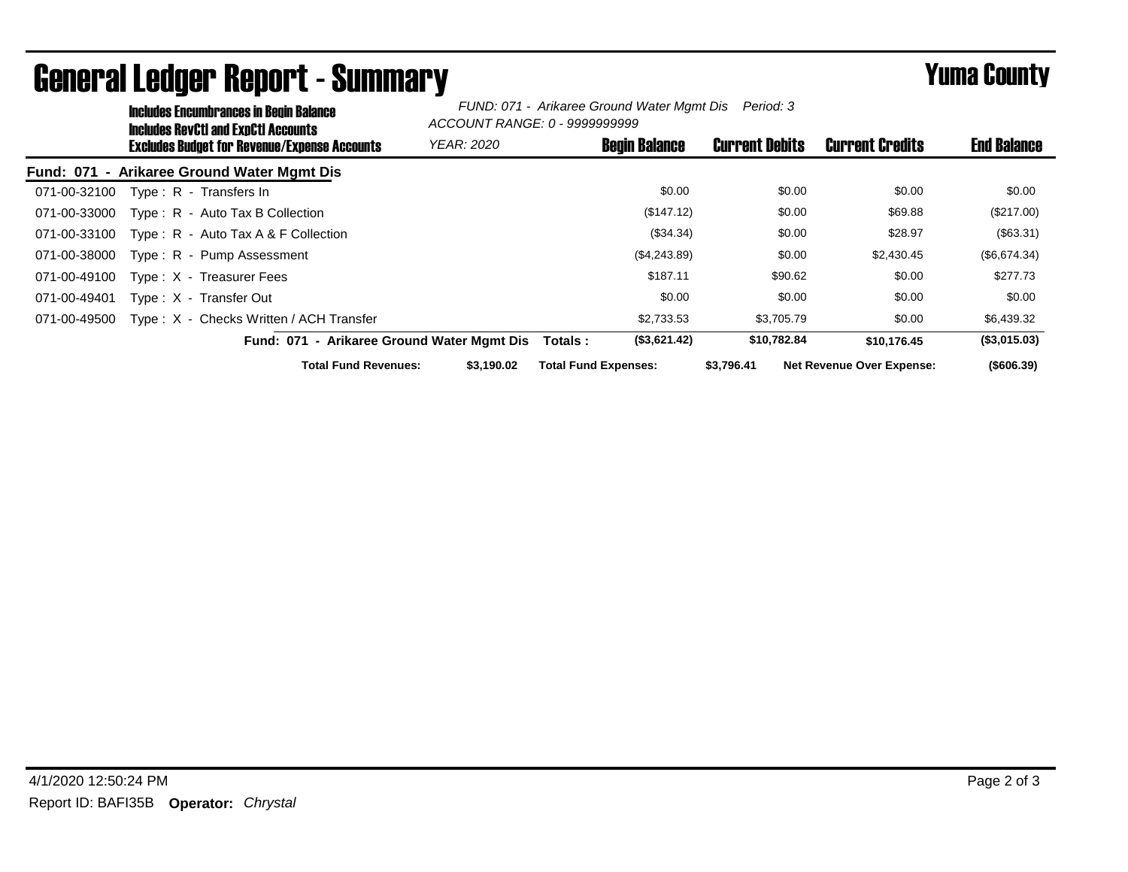|              | <b>Includes Encumbrances in Begin Balance</b><br>Includes RevCtI and ExnCtI Accounts |                                              | FUND: 071 - Arikaree Ground Water Mgmt Dis Period: 3<br>ACCOUNT RANGE: 0 - 9999999999 |                             |                      |                       |                                  |                    |
|--------------|--------------------------------------------------------------------------------------|----------------------------------------------|---------------------------------------------------------------------------------------|-----------------------------|----------------------|-----------------------|----------------------------------|--------------------|
|              |                                                                                      | Excludes Budget for Revenue/Expense Accounts | <b>YEAR: 2020</b>                                                                     |                             | <b>Begin Balance</b> | <b>Current Debits</b> | <b>Current Credits</b>           | <b>End Balance</b> |
|              |                                                                                      | Fund: 071 - Arikaree Ground Water Mgmt Dis   |                                                                                       |                             |                      |                       |                                  |                    |
| 071-00-32100 |                                                                                      | Type: R - Transfers In                       |                                                                                       |                             | \$0.00               | \$0.00                | \$0.00                           | \$0.00             |
| 071-00-33000 |                                                                                      | Type: R - Auto Tax B Collection              |                                                                                       |                             | (\$147.12)           | \$0.00                | \$69.88                          | (\$217.00)         |
| 071-00-33100 |                                                                                      | Type: $R -$ Auto Tax A & F Collection        |                                                                                       |                             | (\$34.34)            | \$0.00                | \$28.97                          | (\$63.31)          |
| 071-00-38000 |                                                                                      | Type: R - Pump Assessment                    |                                                                                       |                             | (\$4,243.89)         | \$0.00                | \$2,430.45                       | (\$6,674.34)       |
| 071-00-49100 |                                                                                      | Type: X - Treasurer Fees                     |                                                                                       |                             | \$187.11             | \$90.62               | \$0.00                           | \$277.73           |
| 071-00-49401 |                                                                                      | Type: X - Transfer Out                       |                                                                                       |                             | \$0.00               | \$0.00                | \$0.00                           | \$0.00             |
| 071-00-49500 |                                                                                      | Type: X - Checks Written / ACH Transfer      |                                                                                       |                             | \$2,733.53           | \$3,705.79            | \$0.00                           | \$6,439.32         |
|              |                                                                                      | Fund: 071 - Arikaree Ground Water Mgmt Dis   |                                                                                       | Totals:                     | (\$3,621.42)         | \$10,782.84           | \$10,176,45                      | (\$3,015.03)       |
|              |                                                                                      | <b>Total Fund Revenues:</b>                  | \$3.190.02                                                                            | <b>Total Fund Expenses:</b> |                      | \$3,796.41            | <b>Net Revenue Over Expense:</b> | $($ \$606.39)      |

## General Ledger Report - Summary **Example 2018** Yuma County